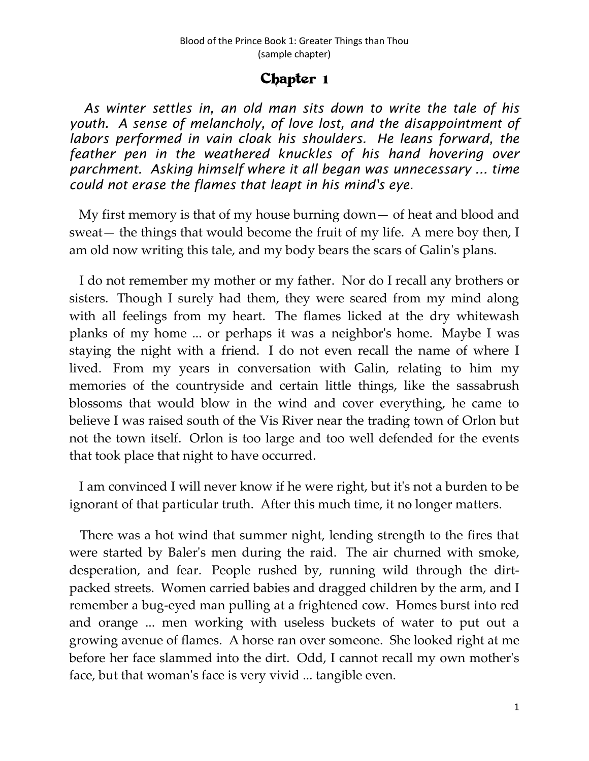## Chapter 1

 *As winter settles in, an old man sits down to write the tale of his youth. A sense of melancholy, of love lost, and the disappointment of labors performed in vain cloak his shoulders. He leans forward, the feather pen in the weathered knuckles of his hand hovering over parchment. Asking himself where it all began was unnecessary ... time could not erase the flames that leapt in his mind's eye.*

 My first memory is that of my house burning down— of heat and blood and sweat— the things that would become the fruit of my life. A mere boy then, I am old now writing this tale, and my body bears the scars of Galin's plans.

 I do not remember my mother or my father. Nor do I recall any brothers or sisters. Though I surely had them, they were seared from my mind along with all feelings from my heart. The flames licked at the dry whitewash planks of my home ... or perhaps it was a neighbor's home. Maybe I was staying the night with a friend. I do not even recall the name of where I lived. From my years in conversation with Galin, relating to him my memories of the countryside and certain little things, like the sassabrush blossoms that would blow in the wind and cover everything, he came to believe I was raised south of the Vis River near the trading town of Orlon but not the town itself. Orlon is too large and too well defended for the events that took place that night to have occurred.

 I am convinced I will never know if he were right, but it's not a burden to be ignorant of that particular truth. After this much time, it no longer matters.

 There was a hot wind that summer night, lending strength to the fires that were started by Baler's men during the raid. The air churned with smoke, desperation, and fear. People rushed by, running wild through the dirtpacked streets. Women carried babies and dragged children by the arm, and I remember a bug-eyed man pulling at a frightened cow. Homes burst into red and orange ... men working with useless buckets of water to put out a growing avenue of flames. A horse ran over someone. She looked right at me before her face slammed into the dirt. Odd, I cannot recall my own mother's face, but that woman's face is very vivid ... tangible even.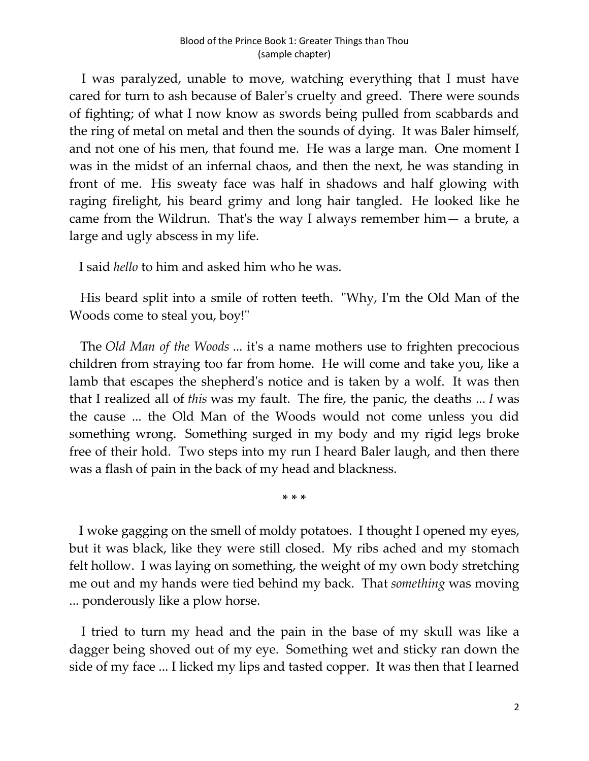I was paralyzed, unable to move, watching everything that I must have cared for turn to ash because of Baler's cruelty and greed. There were sounds of fighting; of what I now know as swords being pulled from scabbards and the ring of metal on metal and then the sounds of dying. It was Baler himself, and not one of his men, that found me. He was a large man. One moment I was in the midst of an infernal chaos, and then the next, he was standing in front of me. His sweaty face was half in shadows and half glowing with raging firelight, his beard grimy and long hair tangled. He looked like he came from the Wildrun. That's the way I always remember him— a brute, a large and ugly abscess in my life.

I said *hello* to him and asked him who he was.

 His beard split into a smile of rotten teeth. "Why, I'm the Old Man of the Woods come to steal you, boy!"

 The *Old Man of the Woods* ... it's a name mothers use to frighten precocious children from straying too far from home. He will come and take you, like a lamb that escapes the shepherd's notice and is taken by a wolf. It was then that I realized all of *this* was my fault. The fire, the panic, the deaths ... *I* was the cause ... the Old Man of the Woods would not come unless you did something wrong. Something surged in my body and my rigid legs broke free of their hold. Two steps into my run I heard Baler laugh, and then there was a flash of pain in the back of my head and blackness.

**\* \* \***

 I woke gagging on the smell of moldy potatoes. I thought I opened my eyes, but it was black, like they were still closed. My ribs ached and my stomach felt hollow. I was laying on something, the weight of my own body stretching me out and my hands were tied behind my back. That *something* was moving ... ponderously like a plow horse.

 I tried to turn my head and the pain in the base of my skull was like a dagger being shoved out of my eye. Something wet and sticky ran down the side of my face ... I licked my lips and tasted copper. It was then that I learned